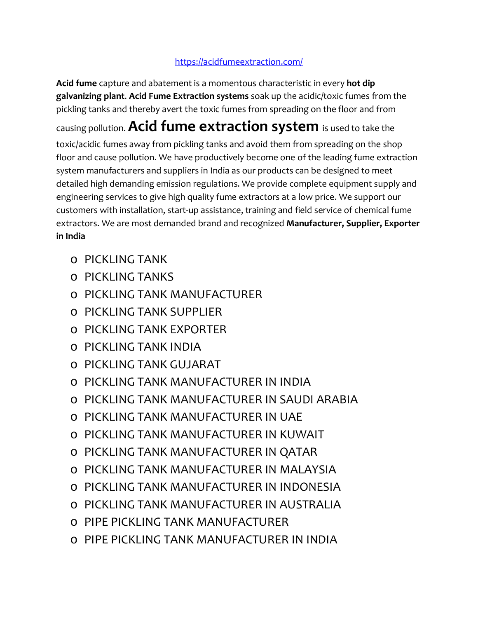## <https://acidfumeextraction.com/>

**Acid fume** capture and abatement is a momentous characteristic in every **hot dip galvanizing plant**. **Acid Fume Extraction systems** soak up the acidic/toxic fumes from the pickling tanks and thereby avert the toxic fumes from spreading on the floor and from causing pollution.**Acid fume extraction system** is used to take the toxic/acidic fumes away from pickling tanks and avoid them from spreading on the shop floor and cause pollution. We have productively become one of the leading fume extraction system manufacturers and suppliers in India as our products can be designed to meet detailed high demanding emission regulations. We provide complete equipment supply and engineering services to give high quality fume extractors at a low price. We support our customers with installation, start-up assistance, training and field service of chemical fume extractors. We are most demanded brand and recognized **Manufacturer, Supplier, Exporter in India**

- o PICKLING TANK
- o PICKLING TANKS
- o PICKLING TANK MANUFACTURER
- o PICKLING TANK SUPPLIER
- o PICKLING TANK EXPORTER
- o PICKLING TANK INDIA
- o PICKLING TANK GUJARAT
- o PICKLING TANK MANUFACTURER IN INDIA
- o PICKLING TANK MANUFACTURER IN SAUDI ARABIA
- o PICKLING TANK MANUFACTURER IN UAE
- o PICKLING TANK MANUFACTURER IN KUWAIT
- o PICKLING TANK MANUFACTURER IN QATAR
- o PICKLING TANK MANUFACTURER IN MALAYSIA
- o PICKLING TANK MANUFACTURER IN INDONESIA
- o PICKLING TANK MANUFACTURER IN AUSTRALIA
- o PIPE PICKLING TANK MANUFACTURER
- o PIPE PICKLING TANK MANUFACTURER IN INDIA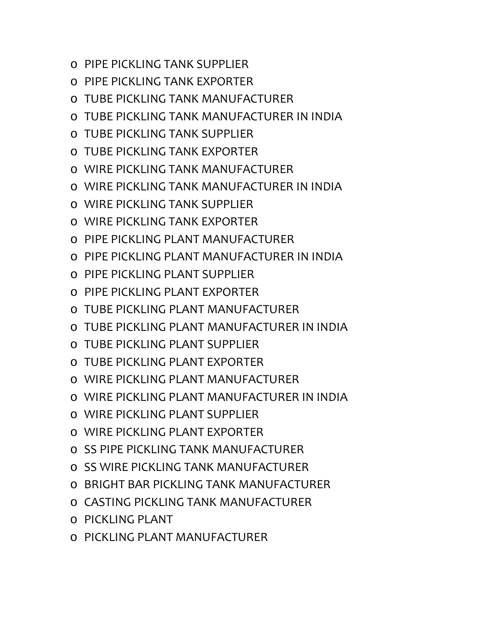- o PIPE PICKLING TANK SUPPLIER
- o PIPE PICKLING TANK EXPORTER
- o TUBE PICKLING TANK MANUFACTURER
- o TUBE PICKLING TANK MANUFACTURER IN INDIA
- o TUBE PICKLING TANK SUPPLIER
- o TUBE PICKLING TANK EXPORTER
- o WIRE PICKLING TANK MANUFACTURER
- o WIRE PICKLING TANK MANUFACTURER IN INDIA
- o WIRE PICKLING TANK SUPPLIER
- o WIRE PICKLING TANK EXPORTER
- o PIPE PICKLING PLANT MANUFACTURER
- $\circ$  PIPE PICKLING PLANT MANUFACTURER IN INDIA
- o PIPE PICKLING PLANT SUPPLIER
- o PIPE PICKLING PLANT EXPORTER
- o TUBE PICKLING PLANT MANUFACTURER
- o TUBE PICKLING PLANT MANUFACTURER IN INDIA
- o TUBE PICKLING PLANT SUPPLIER
- o TUBE PICKLING PLANT EXPORTER
- o WIRE PICKLING PLANT MANUFACTURER
- o WIRE PICKLING PLANT MANUFACTURER IN INDIA
- o WIRE PICKLING PLANT SUPPLIER
- o WIRE PICKLING PLANT EXPORTER
- o SS PIPE PICKLING TANK MANUFACTURER
- o SS WIRE PICKLING TANK MANUFACTURER
- o BRIGHT BAR PICKLING TANK MANUFACTURER
- o CASTING PICKLING TANK MANUFACTURER
- o PICKLING PLANT
- o PICKLING PLANT MANUFACTURER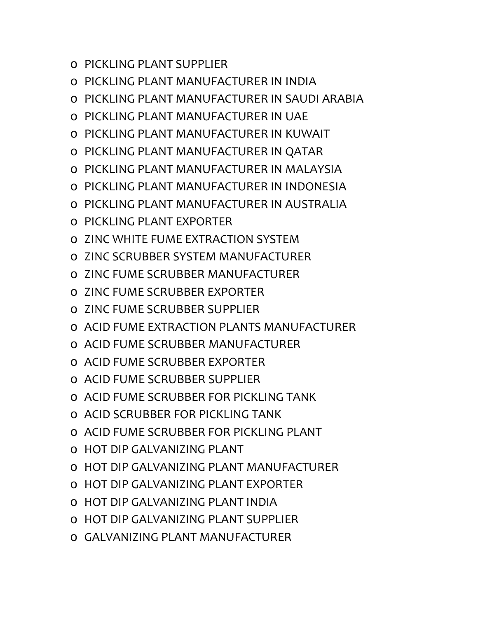- o PICKLING PLANT SUPPLIER
- o PICKLING PLANT MANUFACTURER IN INDIA
- o PICKLING PLANT MANUFACTURER IN SAUDI ARABIA
- o PICKLING PLANT MANUFACTURER IN UAE
- o PICKLING PLANT MANUFACTURER IN KUWAIT
- o PICKLING PLANT MANUFACTURER IN QATAR
- o PICKLING PLANT MANUFACTURER IN MALAYSIA
- o PICKLING PLANT MANUFACTURER IN INDONESIA
- o PICKLING PLANT MANUFACTURER IN AUSTRALIA
- o PICKLING PLANT EXPORTER
- o ZINC WHITE FUME EXTRACTION SYSTEM
- o ZINC SCRUBBER SYSTEM MANUFACTURER
- o ZINC FUME SCRUBBER MANUFACTURER
- o ZINC FUME SCRUBBER EXPORTER
- o ZINC FUME SCRUBBER SUPPLIER
- o ACID FUME EXTRACTION PLANTS MANUFACTURER
- o ACID FUME SCRUBBER MANUFACTURER
- o ACID FUME SCRUBBER EXPORTER
- o ACID FUME SCRUBBER SUPPLIER
- o ACID FUME SCRUBBER FOR PICKLING TANK
- o ACID SCRUBBER FOR PICKLING TANK
- o ACID FUME SCRUBBER FOR PICKLING PLANT
- o HOT DIP GALVANIZING PLANT
- o HOT DIP GALVANIZING PLANT MANUFACTURER
- o HOT DIP GALVANIZING PLANT EXPORTER
- o HOT DIP GALVANIZING PLANT INDIA
- o HOT DIP GALVANIZING PLANT SUPPLIER
- o GALVANIZING PLANT MANUFACTURER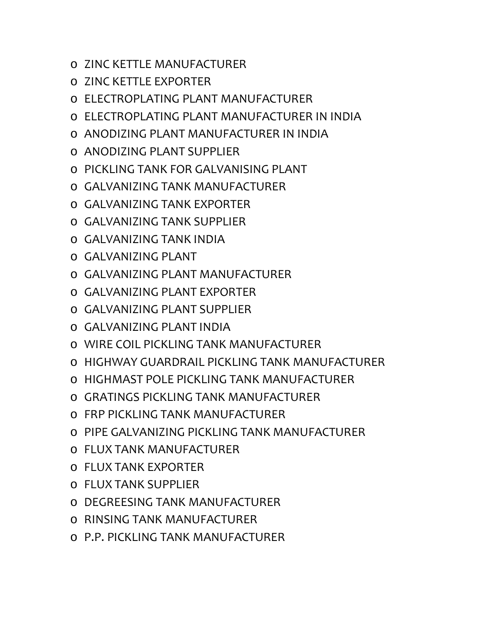- o ZINC KETTLE MANUFACTURER
- o ZINC KETTLE EXPORTER
- o ELECTROPLATING PLANT MANUFACTURER
- o ELECTROPLATING PLANT MANUFACTURER IN INDIA
- o ANODIZING PLANT MANUFACTURER IN INDIA
- o ANODIZING PLANT SUPPLIER
- o PICKLING TANK FOR GALVANISING PLANT
- o GALVANIZING TANK MANUFACTURER
- o GALVANIZING TANK EXPORTER
- o GALVANIZING TANK SUPPLIER
- o GALVANIZING TANK INDIA
- o GALVANIZING PLANT
- o GALVANIZING PLANT MANUFACTURER
- o GALVANIZING PLANT EXPORTER
- o GALVANIZING PLANT SUPPLIER
- o GALVANIZING PLANT INDIA
- o WIRE COIL PICKLING TANK MANUFACTURER
- o HIGHWAY GUARDRAIL PICKLING TANK MANUFACTURER
- o HIGHMAST POLE PICKLING TANK MANUFACTURER
- o GRATINGS PICKLING TANK MANUFACTURER
- o FRP PICKLING TANK MANUFACTURER
- o PIPE GALVANIZING PICKLING TANK MANUFACTURER
- o FLUX TANK MANUFACTURER
- o FLUX TANK EXPORTER
- o FLUX TANK SUPPLIER
- o DEGREESING TANK MANUFACTURER
- o RINSING TANK MANUFACTURER
- o P.P. PICKLING TANK MANUFACTURER